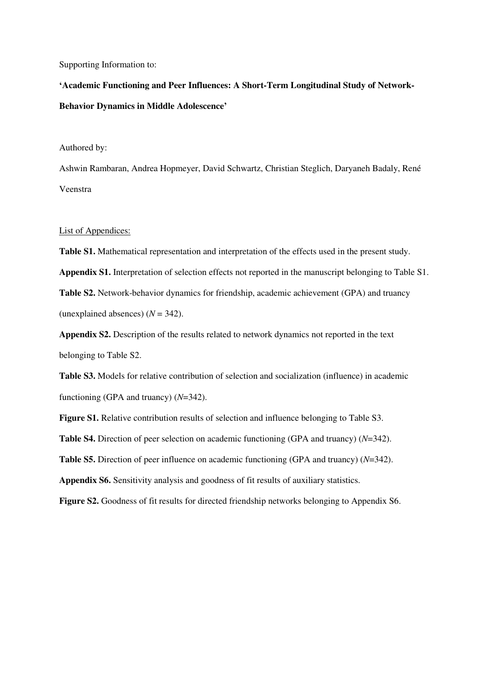Supporting Information to:

**'Academic Functioning and Peer Influences: A Short-Term Longitudinal Study of Network-Behavior Dynamics in Middle Adolescence'** 

Authored by:

Ashwin Rambaran, Andrea Hopmeyer, David Schwartz, Christian Steglich, Daryaneh Badaly, René Veenstra

## List of Appendices:

**Table S1.** Mathematical representation and interpretation of the effects used in the present study. **Appendix S1.** Interpretation of selection effects not reported in the manuscript belonging to Table S1. **Table S2.** Network-behavior dynamics for friendship, academic achievement (GPA) and truancy (unexplained absences)  $(N = 342)$ .

**Appendix S2.** Description of the results related to network dynamics not reported in the text belonging to Table S2.

**Table S3.** Models for relative contribution of selection and socialization (influence) in academic functioning (GPA and truancy) (*N*=342).

**Figure S1.** Relative contribution results of selection and influence belonging to Table S3.

**Table S4.** Direction of peer selection on academic functioning (GPA and truancy) (*N*=342).

**Table S5.** Direction of peer influence on academic functioning (GPA and truancy) (*N*=342).

**Appendix S6.** Sensitivity analysis and goodness of fit results of auxiliary statistics.

**Figure S2.** Goodness of fit results for directed friendship networks belonging to Appendix S6.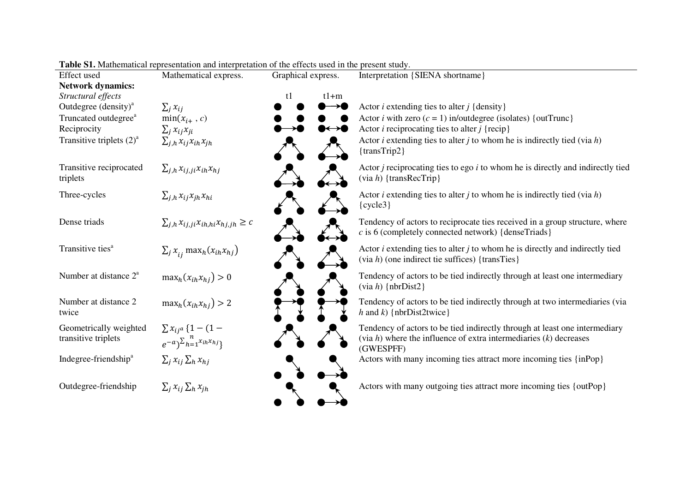| <b>Effect</b> used                            | Mathematical express.                                                    | Graphical express. | Interpretation {SIENA shortname}                                                                                                                                  |
|-----------------------------------------------|--------------------------------------------------------------------------|--------------------|-------------------------------------------------------------------------------------------------------------------------------------------------------------------|
| <b>Network dynamics:</b>                      |                                                                          |                    |                                                                                                                                                                   |
| Structural effects                            |                                                                          | $t1+m$<br>t1       |                                                                                                                                                                   |
| Outdegree $(density)^a$                       | $\sum_i x_{ij}$                                                          |                    | Actor <i>i</i> extending ties to alter <i>j</i> {density}                                                                                                         |
| Truncated outdegree <sup>a</sup>              | $min(x_{i+}, c)$                                                         |                    | Actor <i>i</i> with zero $(c = 1)$ in/outdegree (isolates) {outTrunc}                                                                                             |
| Reciprocity                                   | $\sum_j x_{ij}x_{ji}$                                                    | ៶←→●               | Actor <i>i</i> reciprocating ties to alter <i>j</i> {recip}                                                                                                       |
| Transitive triplets $(2)^a$                   | $\sum_{j,h} x_{ij} x_{ih} x_{jh}$                                        |                    | Actor <i>i</i> extending ties to alter <i>j</i> to whom he is indirectly tied (via $h$ )<br>$\{transTrip2\}$                                                      |
| Transitive reciprocated<br>triplets           | $\sum_{j,h} x_{ij,j} x_{ih} x_{hj}$                                      |                    | Actor $j$ reciprocating ties to ego $i$ to whom he is directly and indirectly tied<br>$(via h)$ {transRecTrip}                                                    |
| Three-cycles                                  | $\sum_{j,h} x_{ij} x_{jh} x_{hi}$                                        |                    | Actor <i>i</i> extending ties to alter <i>j</i> to whom he is indirectly tied (via $h$ )<br>$\{cycle3\}$                                                          |
| Dense triads                                  | $\sum_{j,h} x_{ij,j} x_{ih,hi} x_{hj,jh} \geq c$                         |                    | Tendency of actors to reciprocate ties received in a group structure, where<br>$c$ is 6 (completely connected network) {denseTriads}                              |
| Transitive ties <sup>a</sup>                  | $\sum_j x_{ij}$ max <sub>h</sub> $(x_{ih}x_{hj})$                        |                    | Actor $i$ extending ties to alter $j$ to whom he is directly and indirectly tied<br>$(via h)$ (one indirect tie suffices) {transTies}                             |
| Number at distance 2 <sup>a</sup>             | $\max_h(x_{ih}x_{hi}) > 0$                                               |                    | Tendency of actors to be tied indirectly through at least one intermediary<br>$(via h)$ {nbrDist2}                                                                |
| Number at distance 2<br>twice                 | $\max_h(x_{ih}x_{hi}) > 2$                                               |                    | Tendency of actors to be tied indirectly through at two intermediaries (via<br>h and k) { $nbrDist2twice$ }                                                       |
| Geometrically weighted<br>transitive triplets | $\sum x_{ij} a \{1 - (1 -$<br>$e^{-a}\big)^{\sum_{h=1}^{n}x_{ih}x_{hj}}$ |                    | Tendency of actors to be tied indirectly through at least one intermediary<br>(via $h$ ) where the influence of extra intermediaries $(k)$ decreases<br>(GWESPFF) |
| Indegree-friendship <sup>a</sup>              | $\sum_i x_{ij} \sum_h x_{hj}$                                            |                    | Actors with many incoming ties attract more incoming ties {inPop}                                                                                                 |
| Outdegree-friendship                          | $\sum_j x_{ij} \sum_h x_{jh}$                                            |                    | Actors with many outgoing ties attract more incoming ties {outPop}                                                                                                |

**Table S1.** Mathematical representation and interpretation of the effects used in the present study.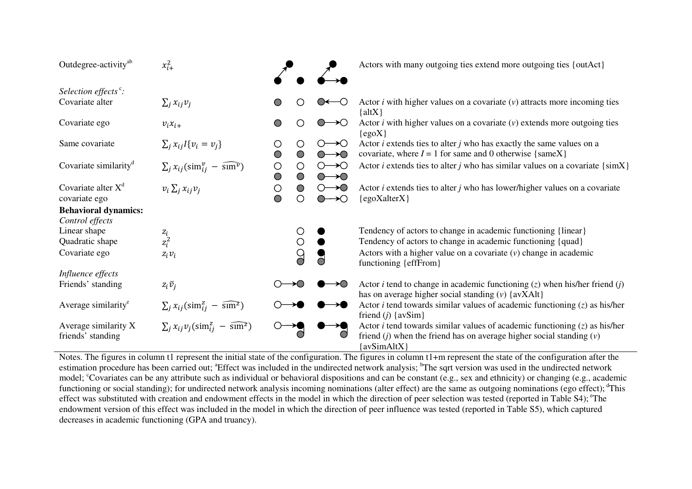| Outdegree-activity <sup>ab</sup>                 | $x_{i+}^2$                                                      |                                     |                             |                                                                | Actors with many outgoing ties extend more outgoing ties {outAct}                                                                                                                         |
|--------------------------------------------------|-----------------------------------------------------------------|-------------------------------------|-----------------------------|----------------------------------------------------------------|-------------------------------------------------------------------------------------------------------------------------------------------------------------------------------------------|
| Selection effects $\degree$ :<br>Covariate alter | $\sum_i x_{ij} v_i$                                             |                                     |                             | —()                                                            | Actor $i$ with higher values on a covariate $(v)$ attracts more incoming ties<br>$\{altX\}$                                                                                               |
| Covariate ego                                    | $v_i x_{i+}$                                                    | O                                   |                             | $\rightarrow \!\!\circlearrowright$                            | Actor $i$ with higher values on a covariate $(v)$ extends more outgoing ties<br>$\{egoX\}$                                                                                                |
| Same covariate                                   | $\sum_i x_{ij} I\{v_i = v_j\}$                                  | O<br>$\circ$                        | $\left( \right)$<br>$\circ$ | $\circ$ $\rightarrow$ $\circ$<br>$O \rightarrow O$             | Actor $i$ extends ties to alter $j$ who has exactly the same values on a<br>covariate, where $I = 1$ for same and 0 otherwise {sameX}                                                     |
| Covariate similarity <sup>d</sup>                | $\sum_j x_{ij}(\text{sim}^v_{ij} - \widehat{\text{sum}^v})$     | $\bigcirc$<br>$\bigcirc$            | O<br>$\circ$                | $\circ$ $\rightarrow$ $\circ$<br>$O \rightarrow O$             | Actor <i>i</i> extends ties to alter <i>j</i> who has similar values on a covariate $\{simX\}$                                                                                            |
| Covariate alter $X^d$<br>covariate ego           | $v_i \sum_j x_{ij} v_j$                                         | $\bigcirc$<br>$\overline{\bigcirc}$ | $\bigcirc$<br>∩             | $\circ$ $\rightarrow$ $\circ$<br>$\circ$ $\rightarrow$ $\circ$ | Actor $i$ extends ties to alter $j$ who has lower/higher values on a covariate<br>$\{egoXalterX\}$                                                                                        |
| <b>Behavioral dynamics:</b><br>Control effects   |                                                                 |                                     |                             |                                                                |                                                                                                                                                                                           |
| Linear shape<br>Quadratic shape                  | $\frac{z_i}{z_i^2}$                                             |                                     | O<br>$\bigcirc$             |                                                                | Tendency of actors to change in academic functioning {linear}<br>Tendency of actors to change in academic functioning {quad}                                                              |
| Covariate ego                                    | $z_i v_i$                                                       |                                     | $\overline{O}$              |                                                                | Actors with a higher value on a covariate $(v)$ change in academic<br>functioning {effFrom}                                                                                               |
| Influence effects<br>Friends' standing           | $z_i\breve{v}_i$                                                |                                     |                             | $\rightarrow \!\!\!\!\circlearrowright$                        | Actor <i>i</i> tend to change in academic functioning $(z)$ when his/her friend $(j)$<br>has on average higher social standing $(v)$ {avXAlt}                                             |
| Average similarity <sup>e</sup>                  | $\sum_j x_{ij}(\text{sim}^z_{ij} - \widehat{\text{sm}}^z)$      |                                     |                             |                                                                | Actor <i>i</i> tend towards similar values of academic functioning $(z)$ as his/her<br>friend $(j)$ {avSim}                                                                               |
| Average similarity X<br>friends' standing        | $\sum_i x_{ij} v_j (\text{sim}^z_{ij} - \widehat{\text{sm}^z})$ |                                     |                             |                                                                | Actor <i>i</i> tend towards similar values of academic functioning $(z)$ as his/her<br>friend ( <i>j</i> ) when the friend has on average higher social standing $(v)$<br>$\{avSimAltX\}$ |

Notes. The figures in column t1 represent the initial state of the configuration. The figures in column t1+m represent the state of the configuration after the estimation procedure has been carried out; <sup>a</sup>Effect was included in the undirected network analysis; <sup>b</sup>The sqrt version was used in the undirected network model; <sup>c</sup>Covariates can be any attribute such as individual or behavioral dispositions and can be constant (e.g., sex and ethnicity) or changing (e.g., academic functioning or social standing); for undirected network analysis incoming nominations (alter effect) are the same as outgoing nominations (ego effect); <sup>d</sup>This effect was substituted with creation and endowment effects in the model in which the direction of peer selection was tested (reported in Table S4); <sup>e</sup>The endowment version of this effect was included in the model in which the direction of peer influence was tested (reported in Table S5), which captured decreases in academic functioning (GPA and truancy).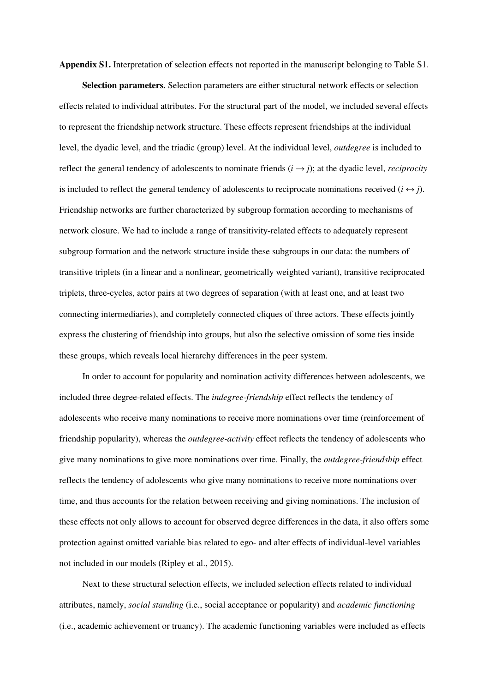**Appendix S1.** Interpretation of selection effects not reported in the manuscript belonging to Table S1.

**Selection parameters.** Selection parameters are either structural network effects or selection effects related to individual attributes. For the structural part of the model, we included several effects to represent the friendship network structure. These effects represent friendships at the individual level, the dyadic level, and the triadic (group) level. At the individual level, *outdegree* is included to reflect the general tendency of adolescents to nominate friends  $(i \rightarrow j)$ ; at the dyadic level, *reciprocity* is included to reflect the general tendency of adolescents to reciprocate nominations received  $(i \leftrightarrow j)$ . Friendship networks are further characterized by subgroup formation according to mechanisms of network closure. We had to include a range of transitivity-related effects to adequately represent subgroup formation and the network structure inside these subgroups in our data: the numbers of transitive triplets (in a linear and a nonlinear, geometrically weighted variant), transitive reciprocated triplets, three-cycles, actor pairs at two degrees of separation (with at least one, and at least two connecting intermediaries), and completely connected cliques of three actors. These effects jointly express the clustering of friendship into groups, but also the selective omission of some ties inside these groups, which reveals local hierarchy differences in the peer system.

In order to account for popularity and nomination activity differences between adolescents, we included three degree-related effects. The *indegree-friendship* effect reflects the tendency of adolescents who receive many nominations to receive more nominations over time (reinforcement of friendship popularity), whereas the *outdegree-activity* effect reflects the tendency of adolescents who give many nominations to give more nominations over time. Finally, the *outdegree-friendship* effect reflects the tendency of adolescents who give many nominations to receive more nominations over time, and thus accounts for the relation between receiving and giving nominations. The inclusion of these effects not only allows to account for observed degree differences in the data, it also offers some protection against omitted variable bias related to ego- and alter effects of individual-level variables not included in our models (Ripley et al., 2015).

Next to these structural selection effects, we included selection effects related to individual attributes, namely, *social standing* (i.e., social acceptance or popularity) and *academic functioning* (i.e., academic achievement or truancy). The academic functioning variables were included as effects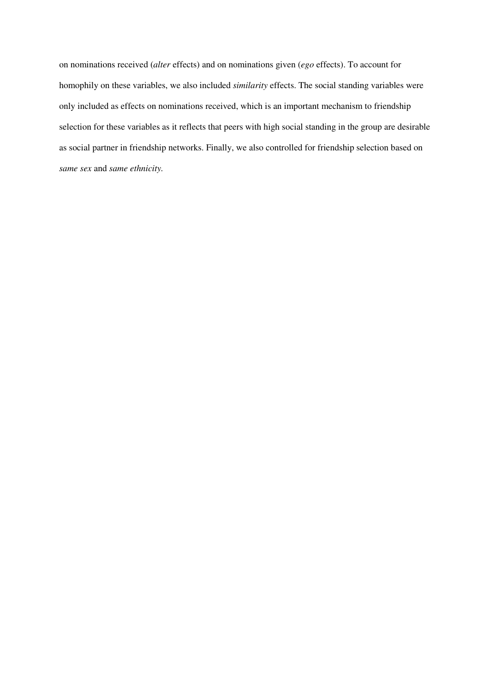on nominations received (*alter* effects) and on nominations given (*ego* effects). To account for homophily on these variables, we also included *similarity* effects. The social standing variables were only included as effects on nominations received, which is an important mechanism to friendship selection for these variables as it reflects that peers with high social standing in the group are desirable as social partner in friendship networks. Finally, we also controlled for friendship selection based on *same sex* and *same ethnicity.*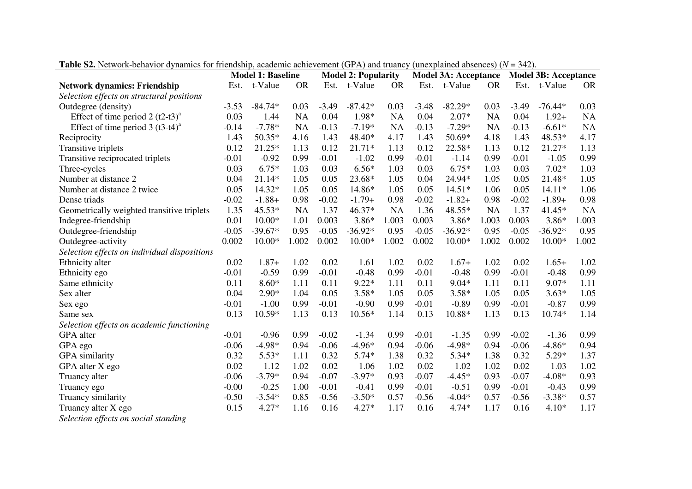|                                              | <b>Model 1: Baseline</b> |           | <b>Model 2: Popularity</b> |         |           | <b>Model 3A: Acceptance</b> |         |           | <b>Model 3B: Acceptance</b> |         |           |           |
|----------------------------------------------|--------------------------|-----------|----------------------------|---------|-----------|-----------------------------|---------|-----------|-----------------------------|---------|-----------|-----------|
| <b>Network dynamics: Friendship</b>          | Est.                     | t-Value   | <b>OR</b>                  | Est.    | t-Value   | <b>OR</b>                   | Est.    | t-Value   | <b>OR</b>                   | Est.    | t-Value   | <b>OR</b> |
| Selection effects on structural positions    |                          |           |                            |         |           |                             |         |           |                             |         |           |           |
| Outdegree (density)                          | $-3.53$                  | $-84.74*$ | 0.03                       | $-3.49$ | $-87.42*$ | 0.03                        | $-3.48$ | $-82.29*$ | 0.03                        | $-3.49$ | $-76.44*$ | 0.03      |
| Effect of time period 2 $(t2-t3)^a$          | 0.03                     | 1.44      | <b>NA</b>                  | 0.04    | 1.98*     | <b>NA</b>                   | 0.04    | $2.07*$   | <b>NA</b>                   | 0.04    | $1.92+$   | <b>NA</b> |
| Effect of time period $3 (t3-t4)^{a}$        | $-0.14$                  | $-7.78*$  | <b>NA</b>                  | $-0.13$ | $-7.19*$  | <b>NA</b>                   | $-0.13$ | $-7.29*$  | <b>NA</b>                   | $-0.13$ | $-6.61*$  | <b>NA</b> |
| Reciprocity                                  | 1.43                     | $50.35*$  | 4.16                       | 1.43    | 48.40*    | 4.17                        | 1.43    | 50.69*    | 4.18                        | 1.43    | 48.53*    | 4.17      |
| Transitive triplets                          | 0.12                     | 21.25*    | 1.13                       | 0.12    | 21.71*    | 1.13                        | 0.12    | 22.58*    | 1.13                        | 0.12    | 21.27*    | 1.13      |
| Transitive reciprocated triplets             | $-0.01$                  | $-0.92$   | 0.99                       | $-0.01$ | $-1.02$   | 0.99                        | $-0.01$ | $-1.14$   | 0.99                        | $-0.01$ | $-1.05$   | 0.99      |
| Three-cycles                                 | 0.03                     | $6.75*$   | 1.03                       | 0.03    | $6.56*$   | 1.03                        | 0.03    | $6.75*$   | 1.03                        | 0.03    | $7.02*$   | 1.03      |
| Number at distance 2                         | 0.04                     | 21.14*    | 1.05                       | 0.05    | 23.68*    | 1.05                        | 0.04    | 24.94*    | 1.05                        | 0.05    | 21.48*    | 1.05      |
| Number at distance 2 twice                   | 0.05                     | 14.32*    | 1.05                       | 0.05    | 14.86*    | 1.05                        | 0.05    | $14.51*$  | 1.06                        | 0.05    | $14.11*$  | 1.06      |
| Dense triads                                 | $-0.02$                  | $-1.88+$  | 0.98                       | $-0.02$ | $-1.79+$  | 0.98                        | $-0.02$ | $-1.82+$  | 0.98                        | $-0.02$ | $-1.89+$  | 0.98      |
| Geometrically weighted transitive triplets   | 1.35                     | 45.53*    | <b>NA</b>                  | 1.37    | 46.37*    | <b>NA</b>                   | 1.36    | 48.55*    | <b>NA</b>                   | 1.37    | 41.45*    | <b>NA</b> |
| Indegree-friendship                          | 0.01                     | $10.00*$  | 1.01                       | 0.003   | 3.86*     | 1.003                       | 0.003   | 3.86*     | 1.003                       | 0.003   | $3.86*$   | 1.003     |
| Outdegree-friendship                         | $-0.05$                  | $-39.67*$ | 0.95                       | $-0.05$ | $-36.92*$ | 0.95                        | $-0.05$ | $-36.92*$ | 0.95                        | $-0.05$ | $-36.92*$ | 0.95      |
| Outdegree-activity                           | 0.002                    | $10.00*$  | 1.002                      | 0.002   | $10.00*$  | 1.002                       | 0.002   | $10.00*$  | 1.002                       | 0.002   | $10.00*$  | 1.002     |
| Selection effects on individual dispositions |                          |           |                            |         |           |                             |         |           |                             |         |           |           |
| Ethnicity alter                              | 0.02                     | $1.87+$   | 1.02                       | 0.02    | 1.61      | 1.02                        | 0.02    | $1.67+$   | 1.02                        | 0.02    | $1.65+$   | 1.02      |
| Ethnicity ego                                | $-0.01$                  | $-0.59$   | 0.99                       | $-0.01$ | $-0.48$   | 0.99                        | $-0.01$ | $-0.48$   | 0.99                        | $-0.01$ | $-0.48$   | 0.99      |
| Same ethnicity                               | 0.11                     | $8.60*$   | 1.11                       | 0.11    | $9.22*$   | 1.11                        | 0.11    | $9.04*$   | 1.11                        | 0.11    | $9.07*$   | 1.11      |
| Sex alter                                    | 0.04                     | $2.90*$   | 1.04                       | 0.05    | $3.58*$   | 1.05                        | 0.05    | $3.58*$   | 1.05                        | 0.05    | $3.63*$   | 1.05      |
| Sex ego                                      | $-0.01$                  | $-1.00$   | 0.99                       | $-0.01$ | $-0.90$   | 0.99                        | $-0.01$ | $-0.89$   | 0.99                        | $-0.01$ | $-0.87$   | 0.99      |
| Same sex                                     | 0.13                     | 10.59*    | 1.13                       | 0.13    | 10.56*    | 1.14                        | 0.13    | 10.88*    | 1.13                        | 0.13    | 10.74*    | 1.14      |
| Selection effects on academic functioning    |                          |           |                            |         |           |                             |         |           |                             |         |           |           |
| GPA alter                                    | $-0.01$                  | $-0.96$   | 0.99                       | $-0.02$ | $-1.34$   | 0.99                        | $-0.01$ | $-1.35$   | 0.99                        | $-0.02$ | $-1.36$   | 0.99      |
| GPA ego                                      | $-0.06$                  | $-4.98*$  | 0.94                       | $-0.06$ | $-4.96*$  | 0.94                        | $-0.06$ | $-4.98*$  | 0.94                        | $-0.06$ | $-4.86*$  | 0.94      |
| GPA similarity                               | 0.32                     | $5.53*$   | 1.11                       | 0.32    | $5.74*$   | 1.38                        | 0.32    | $5.34*$   | 1.38                        | 0.32    | $5.29*$   | 1.37      |
| GPA alter X ego                              | 0.02                     | 1.12      | 1.02                       | 0.02    | 1.06      | 1.02                        | 0.02    | 1.02      | 1.02                        | 0.02    | 1.03      | 1.02      |
| Truancy alter                                | $-0.06$                  | $-3.79*$  | 0.94                       | $-0.07$ | $-3.97*$  | 0.93                        | $-0.07$ | $-4.45*$  | 0.93                        | $-0.07$ | $-4.08*$  | 0.93      |
| Truancy ego                                  | $-0.00$                  | $-0.25$   | 1.00                       | $-0.01$ | $-0.41$   | 0.99                        | $-0.01$ | $-0.51$   | 0.99                        | $-0.01$ | $-0.43$   | 0.99      |
| Truancy similarity                           | $-0.50$                  | $-3.54*$  | 0.85                       | $-0.56$ | $-3.50*$  | 0.57                        | $-0.56$ | $-4.04*$  | 0.57                        | $-0.56$ | $-3.38*$  | 0.57      |
| Truancy alter X ego                          | 0.15                     | $4.27*$   | 1.16                       | 0.16    | $4.27*$   | 1.17                        | 0.16    | $4.74*$   | 1.17                        | 0.16    | $4.10*$   | 1.17      |
| Coloction effects on social standing         |                          |           |                            |         |           |                             |         |           |                             |         |           |           |

**Table S2.** Network-behavior dynamics for friendship, academic achievement (GPA) and truancy (unexplained absences) (*N* = 342).

*Selection effects on social standing*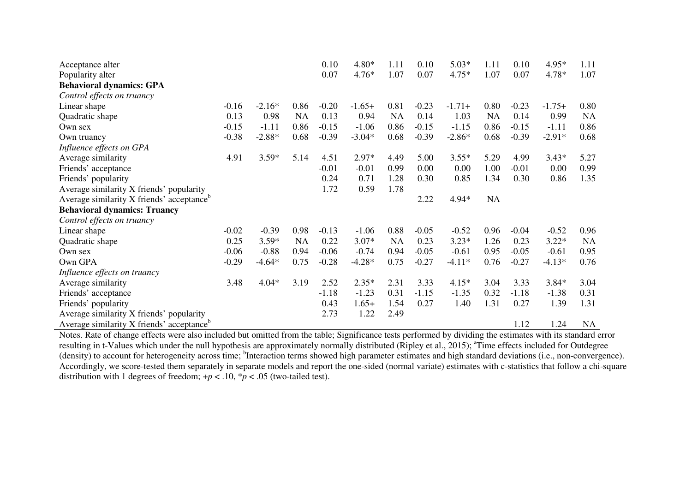| Acceptance alter                                      |         |          |           | 0.10    | 4.80*    | 1.11      | 0.10    | $5.03*$  | 1.11      | 0.10    | $4.95*$  | 1.11      |
|-------------------------------------------------------|---------|----------|-----------|---------|----------|-----------|---------|----------|-----------|---------|----------|-----------|
| Popularity alter                                      |         |          |           | 0.07    | $4.76*$  | 1.07      | 0.07    | $4.75*$  | 1.07      | 0.07    | 4.78*    | 1.07      |
| <b>Behavioral dynamics: GPA</b>                       |         |          |           |         |          |           |         |          |           |         |          |           |
| Control effects on truancy                            |         |          |           |         |          |           |         |          |           |         |          |           |
| Linear shape                                          | $-0.16$ | $-2.16*$ | 0.86      | $-0.20$ | $-1.65+$ | 0.81      | $-0.23$ | $-1.71+$ | 0.80      | $-0.23$ | $-1.75+$ | 0.80      |
| Quadratic shape                                       | 0.13    | 0.98     | <b>NA</b> | 0.13    | 0.94     | NA        | 0.14    | 1.03     | <b>NA</b> | 0.14    | 0.99     | <b>NA</b> |
| Own sex                                               | $-0.15$ | $-1.11$  | 0.86      | $-0.15$ | $-1.06$  | 0.86      | $-0.15$ | $-1.15$  | 0.86      | $-0.15$ | $-1.11$  | 0.86      |
| Own truancy                                           | $-0.38$ | $-2.88*$ | 0.68      | $-0.39$ | $-3.04*$ | 0.68      | $-0.39$ | $-2.86*$ | 0.68      | $-0.39$ | $-2.91*$ | 0.68      |
| Influence effects on GPA                              |         |          |           |         |          |           |         |          |           |         |          |           |
| Average similarity                                    | 4.91    | $3.59*$  | 5.14      | 4.51    | 2.97*    | 4.49      | 5.00    | $3.55*$  | 5.29      | 4.99    | $3.43*$  | 5.27      |
| Friends' acceptance                                   |         |          |           | $-0.01$ | $-0.01$  | 0.99      | 0.00    | 0.00     | 1.00      | $-0.01$ | 0.00     | 0.99      |
| Friends' popularity                                   |         |          |           | 0.24    | 0.71     | 1.28      | 0.30    | 0.85     | 1.34      | 0.30    | 0.86     | 1.35      |
| Average similarity X friends' popularity              |         |          |           | 1.72    | 0.59     | 1.78      |         |          |           |         |          |           |
| Average similarity X friends' acceptance <sup>b</sup> |         |          |           |         |          |           | 2.22    | 4.94*    | NA        |         |          |           |
| <b>Behavioral dynamics: Truancy</b>                   |         |          |           |         |          |           |         |          |           |         |          |           |
| Control effects on truancy                            |         |          |           |         |          |           |         |          |           |         |          |           |
| Linear shape                                          | $-0.02$ | $-0.39$  | 0.98      | $-0.13$ | $-1.06$  | 0.88      | $-0.05$ | $-0.52$  | 0.96      | $-0.04$ | $-0.52$  | 0.96      |
| Quadratic shape                                       | 0.25    | $3.59*$  | <b>NA</b> | 0.22    | $3.07*$  | <b>NA</b> | 0.23    | $3.23*$  | 1.26      | 0.23    | $3.22*$  | <b>NA</b> |
| Own sex                                               | $-0.06$ | $-0.88$  | 0.94      | $-0.06$ | $-0.74$  | 0.94      | $-0.05$ | $-0.61$  | 0.95      | $-0.05$ | $-0.61$  | 0.95      |
| Own GPA                                               | $-0.29$ | $-4.64*$ | 0.75      | $-0.28$ | $-4.28*$ | 0.75      | $-0.27$ | $-4.11*$ | 0.76      | $-0.27$ | $-4.13*$ | 0.76      |
| Influence effects on truancy                          |         |          |           |         |          |           |         |          |           |         |          |           |
| Average similarity                                    | 3.48    | $4.04*$  | 3.19      | 2.52    | $2.35*$  | 2.31      | 3.33    | $4.15*$  | 3.04      | 3.33    | $3.84*$  | 3.04      |
| Friends' acceptance                                   |         |          |           | $-1.18$ | $-1.23$  | 0.31      | $-1.15$ | $-1.35$  | 0.32      | $-1.18$ | $-1.38$  | 0.31      |
| Friends' popularity                                   |         |          |           | 0.43    | $1.65+$  | 1.54      | 0.27    | 1.40     | 1.31      | 0.27    | 1.39     | 1.31      |
| Average similarity X friends' popularity              |         |          |           | 2.73    | 1.22     | 2.49      |         |          |           |         |          |           |
| Average similarity X friends' acceptance <sup>b</sup> |         |          |           |         |          |           |         |          |           | 1.12    | 1.24     | NA        |

Average similarity X friends' acceptance<sup>o</sup><br>Notes. Rate of change effects were also included but omitted from the table; Significance tests performed by dividing the estimates with its standard error resulting in t-Values which under the null hypothesis are approximately normally distributed (Ripley et al., 2015); <sup>a</sup>Time effects included for Outdegree (density) to account for heterogeneity across time; <sup>b</sup>Interaction terms showed high parameter estimates and high standard deviations (i.e., non-convergence). Accordingly, we score-tested them separately in separate models and report the one-sided (normal variate) estimates with c-statistics that follow a chi-square distribution with 1 degrees of freedom;  $+p < .10$ ,  $p < .05$  (two-tailed test).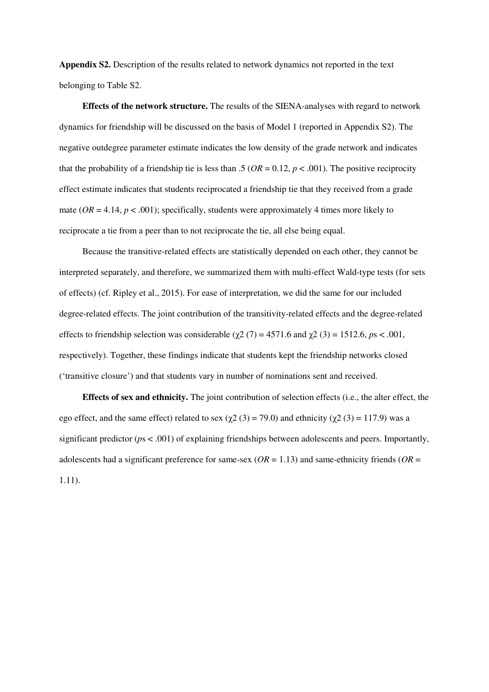**Appendix S2.** Description of the results related to network dynamics not reported in the text belonging to Table S2.

**Effects of the network structure.** The results of the SIENA-analyses with regard to network dynamics for friendship will be discussed on the basis of Model 1 (reported in Appendix S2). The negative outdegree parameter estimate indicates the low density of the grade network and indicates that the probability of a friendship tie is less than .5 ( $OR = 0.12$ ,  $p < .001$ ). The positive reciprocity effect estimate indicates that students reciprocated a friendship tie that they received from a grade mate ( $OR = 4.14$ ,  $p < .001$ ); specifically, students were approximately 4 times more likely to reciprocate a tie from a peer than to not reciprocate the tie, all else being equal.

Because the transitive-related effects are statistically depended on each other, they cannot be interpreted separately, and therefore, we summarized them with multi-effect Wald-type tests (for sets of effects) (cf. Ripley et al., 2015). For ease of interpretation, we did the same for our included degree-related effects. The joint contribution of the transitivity-related effects and the degree-related effects to friendship selection was considerable ( $\chi$ 2 (7) = 4571.6 and  $\chi$ 2 (3) = 1512.6, *ps* < .001, respectively). Together, these findings indicate that students kept the friendship networks closed ('transitive closure') and that students vary in number of nominations sent and received.

**Effects of sex and ethnicity.** The joint contribution of selection effects (i.e., the alter effect, the ego effect, and the same effect) related to sex ( $\chi$ 2 (3) = 79.0) and ethnicity ( $\chi$ 2 (3) = 117.9) was a significant predictor (*p*s < .001) of explaining friendships between adolescents and peers. Importantly, adolescents had a significant preference for same-sex (*OR* = 1.13) and same-ethnicity friends (*OR* = 1.11).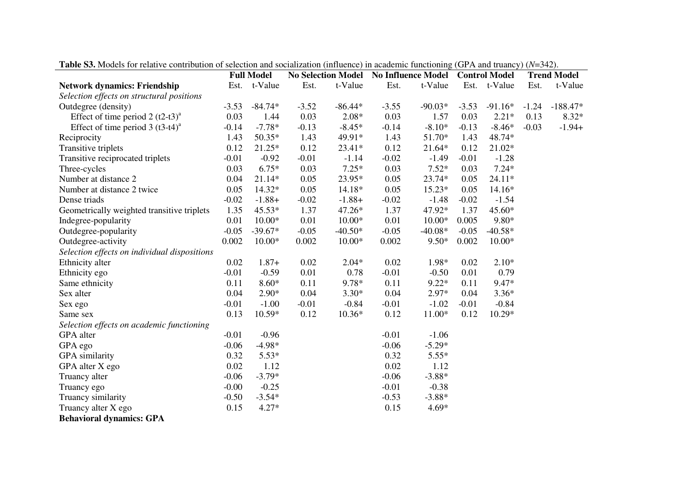|                                              | <b>Fabic Bo.</b> MOUCIS FOR FUGURYC CONTROLLOID OF SCICCHON GIM SOCIALIZATION (INHUCHCC) IN ACAUCHIIC FUNCHOMING (OF A ANU IFUANCY) (18–942). |                                                                          |         |           |         |           |         |              |                    |            |
|----------------------------------------------|-----------------------------------------------------------------------------------------------------------------------------------------------|--------------------------------------------------------------------------|---------|-----------|---------|-----------|---------|--------------|--------------------|------------|
|                                              |                                                                                                                                               | No Selection Model No Influence Model Control Model<br><b>Full Model</b> |         |           |         |           |         |              | <b>Trend Model</b> |            |
| <b>Network dynamics: Friendship</b>          | Est.                                                                                                                                          | t-Value                                                                  | Est.    | t-Value   | Est.    | t-Value   |         | Est. t-Value | Est.               | t-Value    |
| Selection effects on structural positions    |                                                                                                                                               |                                                                          |         |           |         |           |         |              |                    |            |
| Outdegree (density)                          | $-3.53$                                                                                                                                       | $-84.74*$                                                                | $-3.52$ | $-86.44*$ | $-3.55$ | $-90.03*$ | $-3.53$ | $-91.16*$    | $-1.24$            | $-188.47*$ |
| Effect of time period 2 $(t2-t3)^a$          | 0.03                                                                                                                                          | 1.44                                                                     | 0.03    | $2.08*$   | 0.03    | 1.57      | 0.03    | $2.21*$      | 0.13               | $8.32*$    |
| Effect of time period $3 (t3-t4)^a$          | $-0.14$                                                                                                                                       | $-7.78*$                                                                 | $-0.13$ | $-8.45*$  | $-0.14$ | $-8.10*$  | $-0.13$ | $-8.46*$     | $-0.03$            | $-1.94+$   |
| Reciprocity                                  | 1.43                                                                                                                                          | $50.35*$                                                                 | 1.43    | 49.91*    | 1.43    | 51.70*    | 1.43    | 48.74*       |                    |            |
| Transitive triplets                          | 0.12                                                                                                                                          | $21.25*$                                                                 | 0.12    | 23.41*    | 0.12    | $21.64*$  | 0.12    | 21.02*       |                    |            |
| Transitive reciprocated triplets             | $-0.01$                                                                                                                                       | $-0.92$                                                                  | $-0.01$ | $-1.14$   | $-0.02$ | $-1.49$   | $-0.01$ | $-1.28$      |                    |            |
| Three-cycles                                 | 0.03                                                                                                                                          | $6.75*$                                                                  | 0.03    | $7.25*$   | 0.03    | $7.52*$   | 0.03    | $7.24*$      |                    |            |
| Number at distance 2                         | 0.04                                                                                                                                          | $21.14*$                                                                 | 0.05    | 23.95*    | 0.05    | 23.74*    | 0.05    | $24.11*$     |                    |            |
| Number at distance 2 twice                   | 0.05                                                                                                                                          | 14.32*                                                                   | 0.05    | 14.18*    | 0.05    | 15.23*    | 0.05    | 14.16*       |                    |            |
| Dense triads                                 | $-0.02$                                                                                                                                       | $-1.88+$                                                                 | $-0.02$ | $-1.88+$  | $-0.02$ | $-1.48$   | $-0.02$ | $-1.54$      |                    |            |
| Geometrically weighted transitive triplets   | 1.35                                                                                                                                          | $45.53*$                                                                 | 1.37    | 47.26*    | 1.37    | 47.92*    | 1.37    | 45.60*       |                    |            |
| Indegree-popularity                          | 0.01                                                                                                                                          | $10.00*$                                                                 | 0.01    | $10.00*$  | 0.01    | $10.00*$  | 0.005   | 9.80*        |                    |            |
| Outdegree-popularity                         | $-0.05$                                                                                                                                       | $-39.67*$                                                                | $-0.05$ | $-40.50*$ | $-0.05$ | $-40.08*$ | $-0.05$ | $-40.58*$    |                    |            |
| Outdegree-activity                           | 0.002                                                                                                                                         | $10.00*$                                                                 | 0.002   | $10.00*$  | 0.002   | $9.50*$   | 0.002   | $10.00*$     |                    |            |
| Selection effects on individual dispositions |                                                                                                                                               |                                                                          |         |           |         |           |         |              |                    |            |
| Ethnicity alter                              | 0.02                                                                                                                                          | $1.87+$                                                                  | 0.02    | $2.04*$   | 0.02    | 1.98*     | 0.02    | $2.10*$      |                    |            |
| Ethnicity ego                                | $-0.01$                                                                                                                                       | $-0.59$                                                                  | 0.01    | 0.78      | $-0.01$ | $-0.50$   | 0.01    | 0.79         |                    |            |
| Same ethnicity                               | 0.11                                                                                                                                          | $8.60*$                                                                  | 0.11    | 9.78*     | 0.11    | $9.22*$   | 0.11    | 9.47*        |                    |            |
| Sex alter                                    | 0.04                                                                                                                                          | $2.90*$                                                                  | 0.04    | $3.30*$   | 0.04    | $2.97*$   | 0.04    | $3.36*$      |                    |            |
| Sex ego                                      | $-0.01$                                                                                                                                       | $-1.00$                                                                  | $-0.01$ | $-0.84$   | $-0.01$ | $-1.02$   | $-0.01$ | $-0.84$      |                    |            |
| Same sex                                     | 0.13                                                                                                                                          | $10.59*$                                                                 | 0.12    | $10.36*$  | 0.12    | $11.00*$  | 0.12    | $10.29*$     |                    |            |
| Selection effects on academic functioning    |                                                                                                                                               |                                                                          |         |           |         |           |         |              |                    |            |
| GPA alter                                    | $-0.01$                                                                                                                                       | $-0.96$                                                                  |         |           | $-0.01$ | $-1.06$   |         |              |                    |            |
| GPA ego                                      | $-0.06$                                                                                                                                       | $-4.98*$                                                                 |         |           | $-0.06$ | $-5.29*$  |         |              |                    |            |
| GPA similarity                               | 0.32                                                                                                                                          | $5.53*$                                                                  |         |           | 0.32    | $5.55*$   |         |              |                    |            |
| GPA alter X ego                              | 0.02                                                                                                                                          | 1.12                                                                     |         |           | 0.02    | 1.12      |         |              |                    |            |
| Truancy alter                                | $-0.06$                                                                                                                                       | $-3.79*$                                                                 |         |           | $-0.06$ | $-3.88*$  |         |              |                    |            |
| Truancy ego                                  | $-0.00$                                                                                                                                       | $-0.25$                                                                  |         |           | $-0.01$ | $-0.38$   |         |              |                    |            |
| Truancy similarity                           | $-0.50$                                                                                                                                       | $-3.54*$                                                                 |         |           | $-0.53$ | $-3.88*$  |         |              |                    |            |
| Truancy alter X ego                          | 0.15                                                                                                                                          | $4.27*$                                                                  |         |           | 0.15    | $4.69*$   |         |              |                    |            |
| <b>Behavioral dynamics: GPA</b>              |                                                                                                                                               |                                                                          |         |           |         |           |         |              |                    |            |

**Table S3.** Models for relative contribution of selection and socialization (influence) in academic functioning (GPA and truancy) (*N*=342).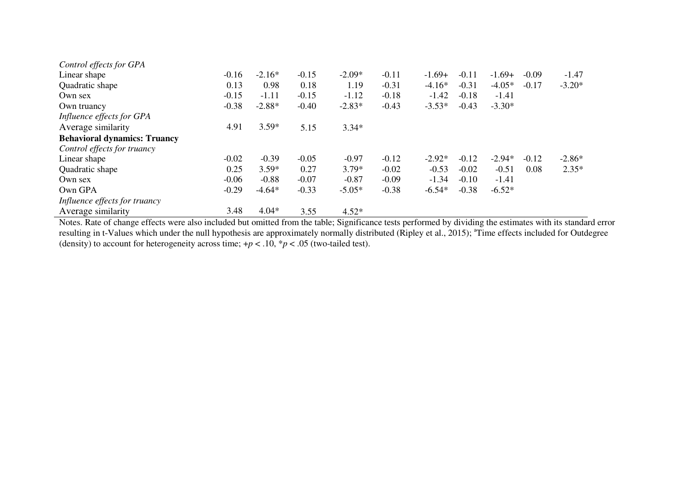| Control effects for GPA                                                                                                                                     |         |          |         |          |         |          |         |          |         |          |
|-------------------------------------------------------------------------------------------------------------------------------------------------------------|---------|----------|---------|----------|---------|----------|---------|----------|---------|----------|
| Linear shape                                                                                                                                                | $-0.16$ | $-2.16*$ | $-0.15$ | $-2.09*$ | $-0.11$ | $-1.69+$ | $-0.11$ | $-1.69+$ | $-0.09$ | $-1.47$  |
| Quadratic shape                                                                                                                                             | 0.13    | 0.98     | 0.18    | 1.19     | $-0.31$ | $-4.16*$ | $-0.31$ | $-4.05*$ | $-0.17$ | $-3.20*$ |
| Own sex                                                                                                                                                     | $-0.15$ | $-1.11$  | $-0.15$ | $-1.12$  | $-0.18$ | $-1.42$  | $-0.18$ | $-1.41$  |         |          |
| Own truancy                                                                                                                                                 | $-0.38$ | $-2.88*$ | $-0.40$ | $-2.83*$ | $-0.43$ | $-3.53*$ | $-0.43$ | $-3.30*$ |         |          |
| Influence effects for GPA                                                                                                                                   |         |          |         |          |         |          |         |          |         |          |
| Average similarity                                                                                                                                          | 4.91    | $3.59*$  | 5.15    | $3.34*$  |         |          |         |          |         |          |
| <b>Behavioral dynamics: Truancy</b>                                                                                                                         |         |          |         |          |         |          |         |          |         |          |
| Control effects for truancy                                                                                                                                 |         |          |         |          |         |          |         |          |         |          |
| Linear shape                                                                                                                                                | $-0.02$ | $-0.39$  | $-0.05$ | $-0.97$  | $-0.12$ | $-2.92*$ | $-0.12$ | $-2.94*$ | $-0.12$ | $-2.86*$ |
| Quadratic shape                                                                                                                                             | 0.25    | $3.59*$  | 0.27    | $3.79*$  | $-0.02$ | $-0.53$  | $-0.02$ | $-0.51$  | 0.08    | $2.35*$  |
| Own sex                                                                                                                                                     | $-0.06$ | $-0.88$  | $-0.07$ | $-0.87$  | $-0.09$ | $-1.34$  | $-0.10$ | $-1.41$  |         |          |
| Own GPA                                                                                                                                                     | $-0.29$ | $-4.64*$ | $-0.33$ | $-5.05*$ | $-0.38$ | $-6.54*$ | $-0.38$ | $-6.52*$ |         |          |
| Influence effects for truancy                                                                                                                               |         |          |         |          |         |          |         |          |         |          |
| Average similarity                                                                                                                                          | 3.48    | $4.04*$  | 3.55    | $4.52*$  |         |          |         |          |         |          |
| Notes. Rate of change effects were also included but omitted from the table; Significance tests performed by dividing the estimates with its standard error |         |          |         |          |         |          |         |          |         |          |

resulting in t-Values which under the null hypothesis are approximately normally distributed (Ripley et al., 2015); <sup>a</sup>Time effects included for Outdegree (density) to account for heterogeneity across time; +p < .10, \*p <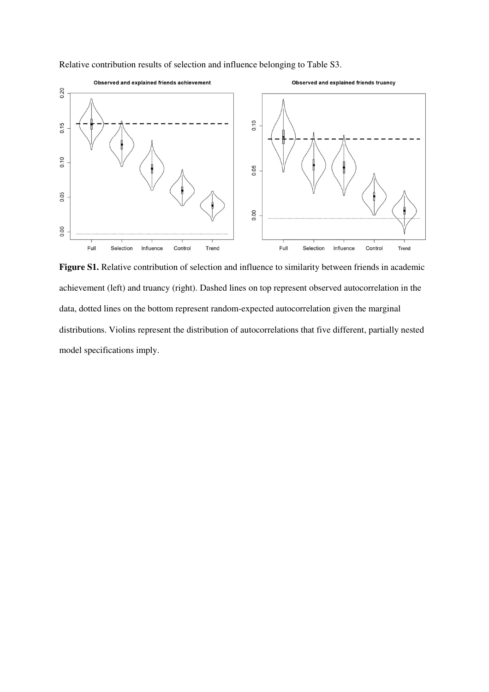

Relative contribution results of selection and influence belonging to Table S3.

**Figure S1.** Relative contribution of selection and influence to similarity between friends in academic achievement (left) and truancy (right). Dashed lines on top represent observed autocorrelation in the data, dotted lines on the bottom represent random-expected autocorrelation given the marginal distributions. Violins represent the distribution of autocorrelations that five different, partially nested model specifications imply.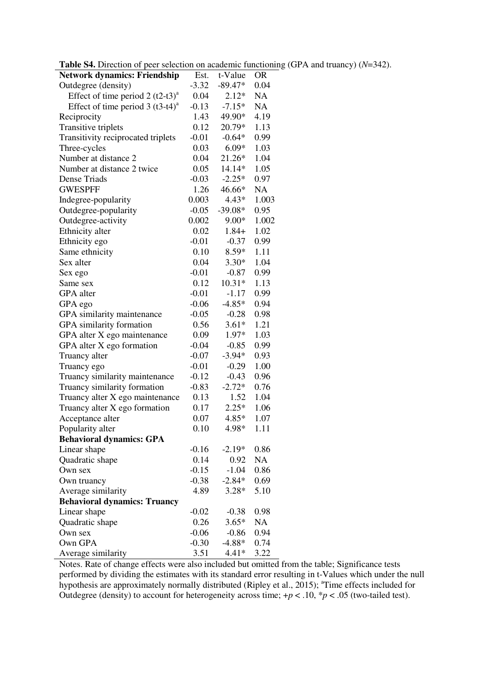| <b>Table S4.</b> Direction of peer selection on academic functioning (GPA and truancy) $(N=342)$ . |  |  |  |  |  |
|----------------------------------------------------------------------------------------------------|--|--|--|--|--|
|----------------------------------------------------------------------------------------------------|--|--|--|--|--|

| <b>rative 34.</b> Direction or peer selection on academic runction                 |                 |                    |            |
|------------------------------------------------------------------------------------|-----------------|--------------------|------------|
| <b>Network dynamics: Friendship</b>                                                | Est.            | t-Value            | <b>OR</b>  |
| Outdegree (density)                                                                | $-3.32$         | $-89.47*$          | 0.04       |
| Effect of time period $2 (t2-t3)^{a}$                                              | 0.04            | $2.12*$            | NA         |
| Effect of time period $3 (t3-t4)^{a}$                                              | $-0.13$         | $-7.15*$           | NA         |
| Reciprocity                                                                        | 1.43            | 49.90*             | 4.19       |
| Transitive triplets                                                                | 0.12            | 20.79*             | 1.13       |
| Transitivity reciprocated triplets                                                 | $-0.01$         | $-0.64*$           | 0.99       |
| Three-cycles                                                                       | 0.03            | $6.09*$            | 1.03       |
| Number at distance 2                                                               | 0.04            | 21.26*             | 1.04       |
| Number at distance 2 twice                                                         | 0.05            | 14.14*             | 1.05       |
| Dense Triads                                                                       | $-0.03$         | $-2.25*$           | 0.97       |
| <b>GWESPFF</b>                                                                     | 1.26            | 46.66*             | NA         |
| Indegree-popularity                                                                | 0.003           | $4.43*$            | 1.003      |
| Outdegree-popularity                                                               | $-0.05$         | $-39.08*$          | 0.95       |
|                                                                                    | 0.002           | $9.00*$            | 1.002      |
| Outdegree-activity                                                                 | 0.02            | $1.84+$            |            |
| Ethnicity alter                                                                    |                 |                    | 1.02       |
| Ethnicity ego                                                                      | $-0.01$         | $-0.37$            | 0.99       |
| Same ethnicity                                                                     | 0.10            | $8.59*$            | 1.11       |
| Sex alter                                                                          | 0.04            | $3.30*$            | 1.04       |
| Sex ego                                                                            | $-0.01$         | $-0.87$            | 0.99       |
| Same sex                                                                           | 0.12            | $10.31*$           | 1.13       |
| GPA alter                                                                          | $-0.01$         | $-1.17$            | 0.99       |
| GPA ego                                                                            | $-0.06$         | $-4.85*$           | 0.94       |
| GPA similarity maintenance                                                         | $-0.05$         | $-0.28$            | 0.98       |
| GPA similarity formation                                                           | 0.56            | $3.61*$            | 1.21       |
| GPA alter X ego maintenance                                                        | 0.09            | 1.97*              | 1.03       |
| GPA alter X ego formation                                                          | $-0.04$         | $-0.85$            | 0.99       |
| Truancy alter                                                                      | $-0.07$         | $-3.94*$           | 0.93       |
| Truancy ego                                                                        | $-0.01$         | $-0.29$            | 1.00       |
| Truancy similarity maintenance                                                     | $-0.12$         | $-0.43$            | 0.96       |
| Truancy similarity formation                                                       | $-0.83$         | $-2.72*$           | 0.76       |
| Truancy alter X ego maintenance                                                    | 0.13            | 1.52               | 1.04       |
| Truancy alter X ego formation                                                      | 0.17            | $2.25*$            | 1.06       |
| Acceptance alter                                                                   | 0.07            | $4.85*$            | 1.07       |
| Popularity alter                                                                   | 0.10            | 4.98*              | 1.11       |
| <b>Behavioral dynamics: GPA</b>                                                    |                 |                    |            |
| Linear shape                                                                       | $-0.16$         | $-2.19*$           | 0.86       |
| Quadratic shape                                                                    | 0.14            | 0.92               | NA         |
| Own sex                                                                            | $-0.15$         | $-1.04$            | 0.86       |
| Own truancy                                                                        | $-0.38$         | $-2.84*$           | 0.69       |
| Average similarity                                                                 | 4.89            | $3.28*$            | 5.10       |
| <b>Behavioral dynamics: Truancy</b>                                                |                 |                    |            |
| Linear shape                                                                       |                 |                    |            |
|                                                                                    | $-0.02$<br>0.26 | $-0.38$<br>$3.65*$ | 0.98<br>NA |
| Quadratic shape                                                                    |                 |                    |            |
| Own sex                                                                            | $-0.06$         | $-0.86$            | 0.94       |
| Own GPA                                                                            | $-0.30$         | $-4.88*$           | 0.74       |
| Average similarity<br>Notes, Rate of change effects were also included but omitted | 3.51            | $4.41*$            | 3.22       |
|                                                                                    |                 |                    |            |

Notes. Rate of change effects were also included but omitted from the table; Significance tests performed by dividing the estimates with its standard error resulting in t-Values which under the null hypothesis are approximately normally distributed (Ripley et al., 2015); <sup>a</sup>Time effects included for Outdegree (density) to account for heterogeneity across time;  $+p < .10$ ,  $p < .05$  (two-tailed test).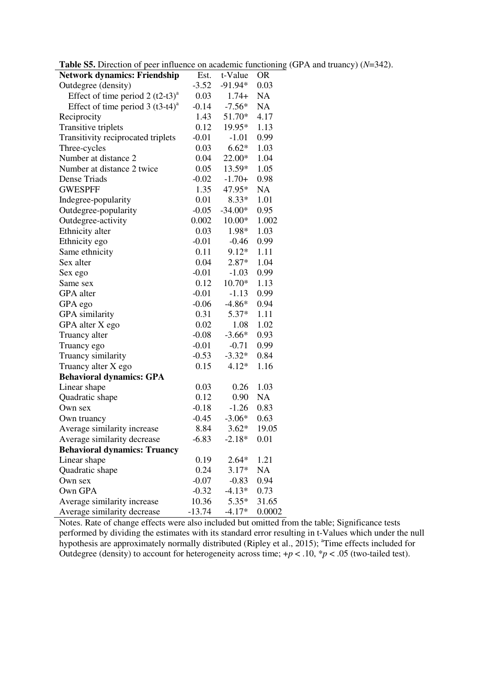|  | <b>Table S5.</b> Direction of peer influence on academic functioning (GPA and truancy) $(N=342)$ . |  |  |
|--|----------------------------------------------------------------------------------------------------|--|--|
|--|----------------------------------------------------------------------------------------------------|--|--|

| <b>radic 33.</b> Direction of peer influence on academic functioning |          |           |           |
|----------------------------------------------------------------------|----------|-----------|-----------|
| <b>Network dynamics: Friendship</b>                                  | Est.     | t-Value   | <b>OR</b> |
| Outdegree (density)                                                  | $-3.52$  | $-91.94*$ | 0.03      |
| Effect of time period $2 (t2-t3)^{a}$                                | 0.03     | $1.74+$   | <b>NA</b> |
| Effect of time period $3 (t3-t4)^a$                                  | $-0.14$  | $-7.56*$  | NA        |
| Reciprocity                                                          | 1.43     | 51.70*    | 4.17      |
| Transitive triplets                                                  | 0.12     | 19.95*    | 1.13      |
| Transitivity reciprocated triplets                                   | $-0.01$  | $-1.01$   | 0.99      |
| Three-cycles                                                         | 0.03     | $6.62*$   | 1.03      |
| Number at distance 2                                                 | 0.04     | 22.00*    | 1.04      |
| Number at distance 2 twice                                           | 0.05     | 13.59*    | 1.05      |
| Dense Triads                                                         | $-0.02$  | $-1.70+$  | 0.98      |
| <b>GWESPFF</b>                                                       | 1.35     | 47.95*    | NA        |
| Indegree-popularity                                                  | 0.01     | $8.33*$   | 1.01      |
| Outdegree-popularity                                                 | $-0.05$  | $-34.00*$ | 0.95      |
| Outdegree-activity                                                   | 0.002    | $10.00*$  | 1.002     |
| Ethnicity alter                                                      | 0.03     | 1.98*     | 1.03      |
| Ethnicity ego                                                        | $-0.01$  | $-0.46$   | 0.99      |
| Same ethnicity                                                       | 0.11     | $9.12*$   | 1.11      |
| Sex alter                                                            | 0.04     | $2.87*$   | 1.04      |
| Sex ego                                                              | $-0.01$  | $-1.03$   | 0.99      |
| Same sex                                                             | 0.12     | 10.70*    | 1.13      |
| GPA alter                                                            | $-0.01$  | $-1.13$   | 0.99      |
| GPA ego                                                              | $-0.06$  | $-4.86*$  | 0.94      |
| GPA similarity                                                       | 0.31     | 5.37*     | 1.11      |
| GPA alter X ego                                                      | 0.02     | 1.08      | 1.02      |
| Truancy alter                                                        | $-0.08$  | $-3.66*$  | 0.93      |
| Truancy ego                                                          | $-0.01$  | $-0.71$   | 0.99      |
| Truancy similarity                                                   | $-0.53$  | $-3.32*$  | 0.84      |
| Truancy alter X ego                                                  | 0.15     | $4.12*$   | 1.16      |
| <b>Behavioral dynamics: GPA</b>                                      |          |           |           |
| Linear shape                                                         | 0.03     | 0.26      | 1.03      |
| Quadratic shape                                                      | 0.12     | 0.90      | <b>NA</b> |
| Own sex                                                              | $-0.18$  | $-1.26$   | 0.83      |
| Own truancy                                                          | $-0.45$  | $-3.06*$  | 0.63      |
| Average similarity increase                                          | 8.84     | $3.62*$   | 19.05     |
| Average similarity decrease                                          | $-6.83$  | $-2.18*$  | 0.01      |
| <b>Behavioral dynamics: Truancy</b>                                  |          |           |           |
| Linear shape                                                         | 0.19     | $2.64*$   | 1.21      |
| Quadratic shape                                                      | 0.24     | $3.17*$   | NA        |
| Own sex                                                              | $-0.07$  | $-0.83$   | 0.94      |
| Own GPA                                                              | $-0.32$  | $-4.13*$  | 0.73      |
| Average similarity increase                                          | 10.36    | $5.35*$   | 31.65     |
| Average similarity decrease                                          | $-13.74$ | $-4.17*$  | 0.0002    |

Notes. Rate of change effects were also included but omitted from the table; Significance tests performed by dividing the estimates with its standard error resulting in t-Values which under the null hypothesis are approximately normally distributed (Ripley et al., 2015); <sup>a</sup>Time effects included for Outdegree (density) to account for heterogeneity across time;  $+p < .10$ ,  $p < .05$  (two-tailed test).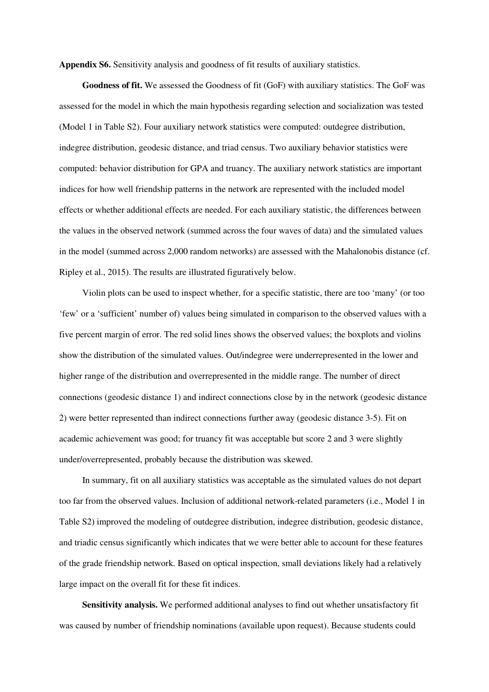**Appendix S6.** Sensitivity analysis and goodness of fit results of auxiliary statistics.

**Goodness of fit.** We assessed the Goodness of fit (GoF) with auxiliary statistics. The GoF was assessed for the model in which the main hypothesis regarding selection and socialization was tested (Model 1 in Table S2). Four auxiliary network statistics were computed: outdegree distribution, indegree distribution, geodesic distance, and triad census. Two auxiliary behavior statistics were computed: behavior distribution for GPA and truancy. The auxiliary network statistics are important indices for how well friendship patterns in the network are represented with the included model effects or whether additional effects are needed. For each auxiliary statistic, the differences between the values in the observed network (summed across the four waves of data) and the simulated values in the model (summed across 2,000 random networks) are assessed with the Mahalonobis distance (cf. Ripley et al., 2015). The results are illustrated figuratively below.

Violin plots can be used to inspect whether, for a specific statistic, there are too 'many' (or too 'few' or a 'sufficient' number of) values being simulated in comparison to the observed values with a five percent margin of error. The red solid lines shows the observed values; the boxplots and violins show the distribution of the simulated values. Out/indegree were underrepresented in the lower and higher range of the distribution and overrepresented in the middle range. The number of direct connections (geodesic distance 1) and indirect connections close by in the network (geodesic distance 2) were better represented than indirect connections further away (geodesic distance 3-5). Fit on academic achievement was good; for truancy fit was acceptable but score 2 and 3 were slightly under/overrepresented, probably because the distribution was skewed.

In summary, fit on all auxiliary statistics was acceptable as the simulated values do not depart too far from the observed values. Inclusion of additional network-related parameters (i.e., Model 1 in Table S2) improved the modeling of outdegree distribution, indegree distribution, geodesic distance, and triadic census significantly which indicates that we were better able to account for these features of the grade friendship network. Based on optical inspection, small deviations likely had a relatively large impact on the overall fit for these fit indices.

**Sensitivity analysis.** We performed additional analyses to find out whether unsatisfactory fit was caused by number of friendship nominations (available upon request). Because students could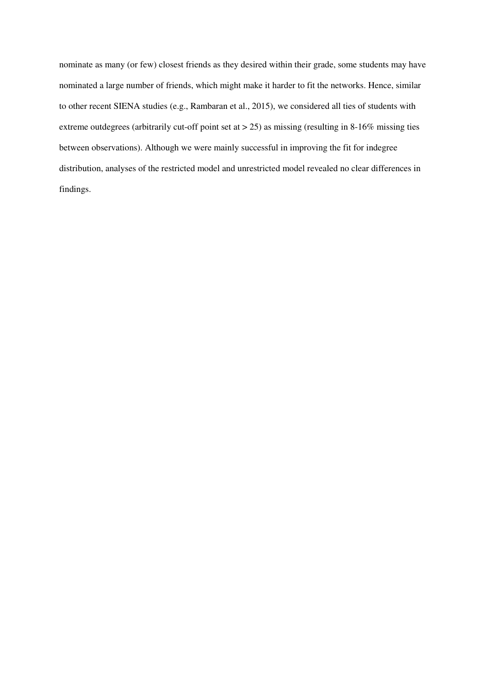nominate as many (or few) closest friends as they desired within their grade, some students may have nominated a large number of friends, which might make it harder to fit the networks. Hence, similar to other recent SIENA studies (e.g., Rambaran et al., 2015), we considered all ties of students with extreme outdegrees (arbitrarily cut-off point set at > 25) as missing (resulting in 8-16% missing ties between observations). Although we were mainly successful in improving the fit for indegree distribution, analyses of the restricted model and unrestricted model revealed no clear differences in findings.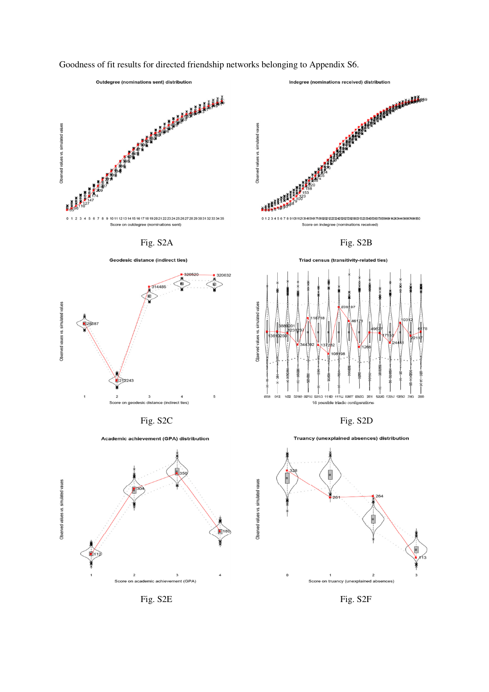